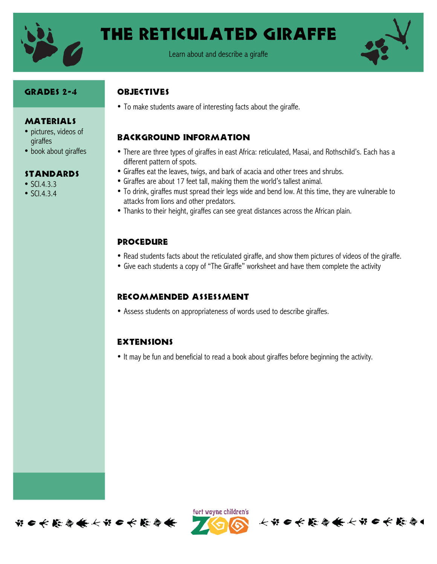

# The reticulated giraffe



#### Grades 2-4

**MATERIALS** • pictures, videos of

• book about giraffes

**STANDARDS** 

giraffes

• SCI.4.3.3 •  $SCl.4.3.4$ 

#### **OBJECTIVES**

• To make students aware of interesting facts about the giraffe.

## Background information

- There are three types of giraffes in east Africa: reticulated, Masai, and Rothschild's. Each has a different pattern of spots.
- Giraffes eat the leaves, twigs, and bark of acacia and other trees and shrubs.
- Giraffes are about 17 feet tall, making them the world's tallest animal.
- To drink, giraffes must spread their legs wide and bend low. At this time, they are vulnerable to attacks from lions and other predators.
- Thanks to their height, giraffes can see great distances across the African plain.

#### Procedure

- Read students facts about the reticulated giraffe, and show them pictures of videos of the giraffe.
- Give each students a copy of "The Giraffe" worksheet and have them complete the activity

## Recommended assessment

• Assess students on appropriateness of words used to describe giraffes.

## **EXTENSIONS**

• It may be fun and beneficial to read a book about giraffes before beginning the activity.





长节 6 长 能 停 条 长节 6 长 能 停 4